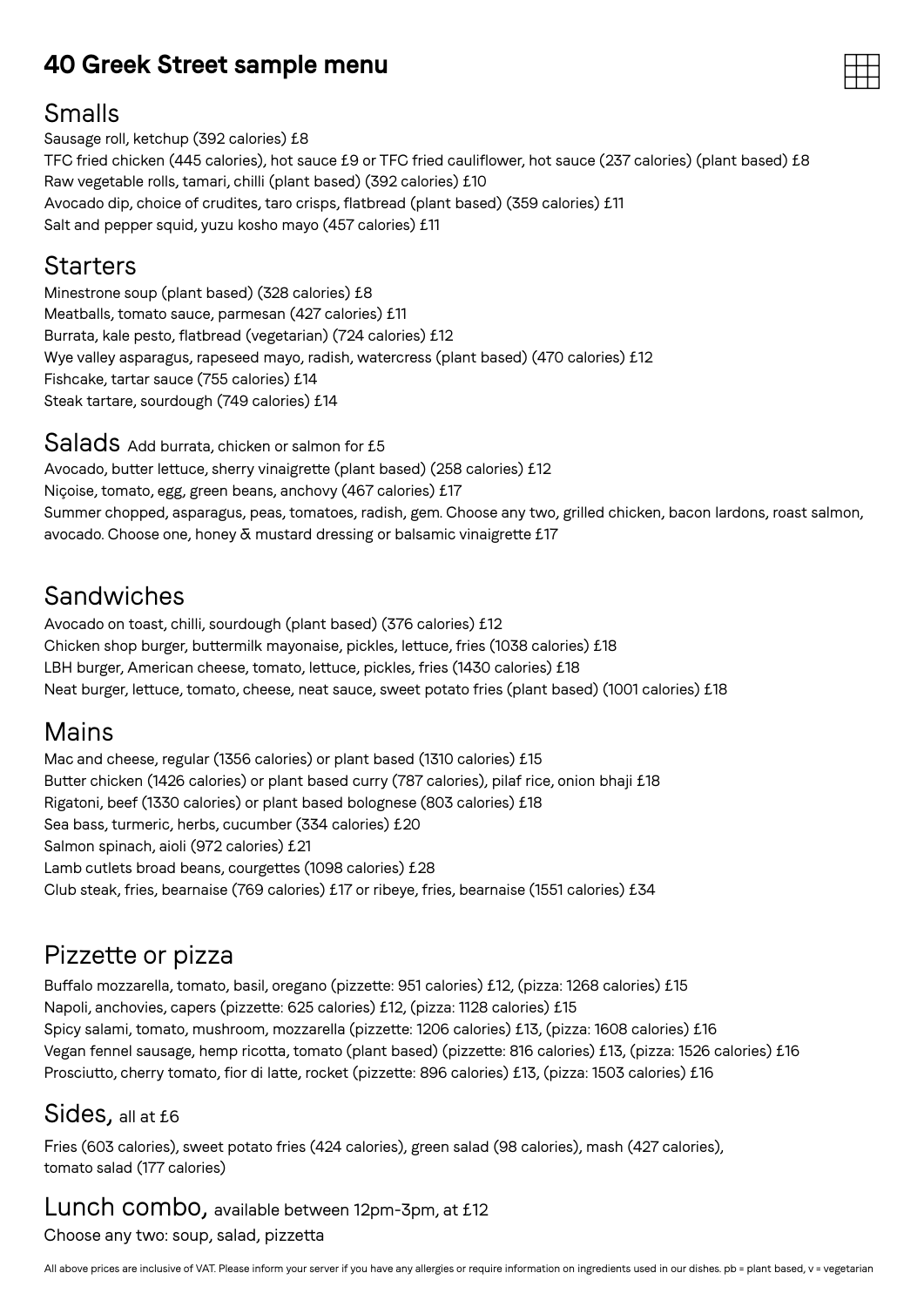## **40 Greek Street sample menu**



## Smalls

Sausage roll, ketchup (392 calories) £8 TFC fried chicken (445 calories), hot sauce £9 or TFC fried cauliflower, hot sauce (237 calories) (plant based) £8 Raw vegetable rolls, tamari, chilli (plant based) (392 calories) £10 Avocado dip, choice of crudites, taro crisps, flatbread (plant based) (359 calories) £11 Salt and pepper squid, yuzu kosho mayo (457 calories) £11

## **Starters**

Minestrone soup (plant based) (328 calories) £8 Meatballs, tomato sauce, parmesan (427 calories) £11 Burrata, kale pesto, flatbread (vegetarian) (724 calories) £12 Wye valley asparagus, rapeseed mayo, radish, watercress (plant based) (470 calories) £12 Fishcake, tartar sauce (755 calories) £14 Steak tartare, sourdough (749 calories) £14

Salads Add burrata, chicken or salmon for £5 Avocado, butter lettuce, sherry vinaigrette (plant based) (258 calories) £12 Niçoise, tomato, egg, green beans, anchovy (467 calories) £17 Summer chopped, asparagus, peas, tomatoes, radish, gem. Choose any two, grilled chicken, bacon lardons, roast salmon, avocado. Choose one, honey & mustard dressing or balsamic vinaigrette £17

# Sandwiches

Avocado on toast, chilli, sourdough (plant based) (376 calories) £12 Chicken shop burger, buttermilk mayonaise, pickles, lettuce, fries (1038 calories) £18 LBH burger, American cheese, tomato, lettuce, pickles, fries (1430 calories) £18 Neat burger, lettuce, tomato, cheese, neat sauce, sweet potato fries (plant based) (1001 calories) £18

## Mains

Mac and cheese, regular (1356 calories) or plant based (1310 calories) £15 Butter chicken (1426 calories) or plant based curry (787 calories), pilaf rice, onion bhaji £18 Rigatoni, beef (1330 calories) or plant based bolognese (803 calories) £18 Sea bass, turmeric, herbs, cucumber (334 calories) £20 Salmon spinach, aioli (972 calories) £21 Lamb cutlets broad beans, courgettes (1098 calories) £28 Club steak, fries, bearnaise (769 calories) £17 or ribeye, fries, bearnaise (1551 calories) £34

## Pizzette or pizza

Buffalo mozzarella, tomato, basil, oregano (pizzette: 951 calories) £12, (pizza: 1268 calories) £15 Napoli, anchovies, capers (pizzette: 625 calories) £12, (pizza: 1128 calories) £15 Spicy salami, tomato, mushroom, mozzarella (pizzette: 1206 calories) £13, (pizza: 1608 calories) £16 Vegan fennel sausage, hemp ricotta, tomato (plant based) (pizzette: 816 calories) £13, (pizza: 1526 calories) £16 Prosciutto, cherry tomato, fior di latte, rocket (pizzette: 896 calories) £13, (pizza: 1503 calories) £16

## Sides, all at £6

Fries (603 calories), sweet potato fries (424 calories), green salad (98 calories), mash (427 calories), tomato salad (177 calories)

#### Lunch combo, available between 12pm-3pm, at £12 Choose any two: soup, salad, pizzetta